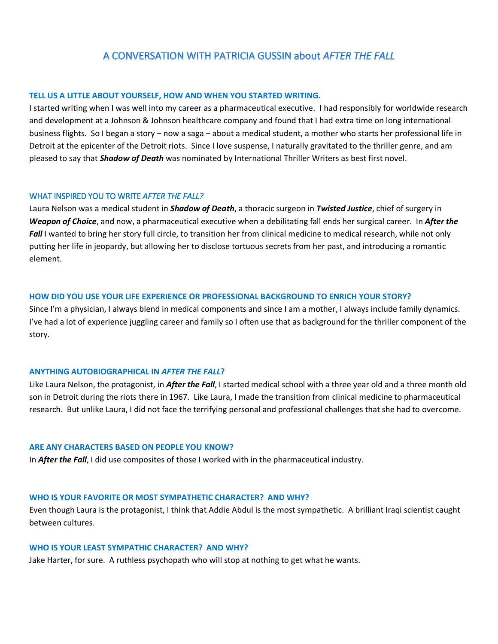# A CONVERSATION WITH PATRICIA GUSSIN about AFTER THE FALL

### **TELL US A LITTLE ABOUT YOURSELF, HOW AND WHEN YOU STARTED WRITING.**

I started writing when I was well into my career as a pharmaceutical executive. I had responsibly for worldwide research and development at a Johnson & Johnson healthcare company and found that I had extra time on long international business flights. So I began a story – now a saga – about a medical student, a mother who starts her professional life in Detroit at the epicenter of the Detroit riots. Since I love suspense, I naturally gravitated to the thriller genre, and am pleased to say that *Shadow of Death* was nominated by International Thriller Writers as best first novel.

# WHAT INSPIRED YOU TO WRITE *AFTER THE FALL?*

Laura Nelson was a medical student in *Shadow of Death*, a thoracic surgeon in *Twisted Justice*, chief of surgery in *Weapon of Choice*, and now, a pharmaceutical executive when a debilitating fall ends her surgical career. In *After the*  **Fall** I wanted to bring her story full circle, to transition her from clinical medicine to medical research, while not only putting her life in jeopardy, but allowing her to disclose tortuous secrets from her past, and introducing a romantic element.

# **HOW DID YOU USE YOUR LIFE EXPERIENCE OR PROFESSIONAL BACKGROUND TO ENRICH YOUR STORY?**

Since I'm a physician, I always blend in medical components and since I am a mother, I always include family dynamics. I've had a lot of experience juggling career and family so I often use that as background for the thriller component of the story.

# **ANYTHING AUTOBIOGRAPHICAL IN** *AFTER THE FALL***?**

Like Laura Nelson, the protagonist, in *After the Fall*, I started medical school with a three year old and a three month old son in Detroit during the riots there in 1967. Like Laura, I made the transition from clinical medicine to pharmaceutical research. But unlike Laura, I did not face the terrifying personal and professional challenges that she had to overcome.

# **ARE ANY CHARACTERS BASED ON PEOPLE YOU KNOW?**

In *After the Fall*, I did use composites of those I worked with in the pharmaceutical industry.

# **WHO IS YOUR FAVORITE OR MOST SYMPATHETIC CHARACTER? AND WHY?**

Even though Laura is the protagonist, I think that Addie Abdul is the most sympathetic. A brilliant Iraqi scientist caught between cultures.

### **WHO IS YOUR LEAST SYMPATHIC CHARACTER? AND WHY?**

Jake Harter, for sure. A ruthless psychopath who will stop at nothing to get what he wants.